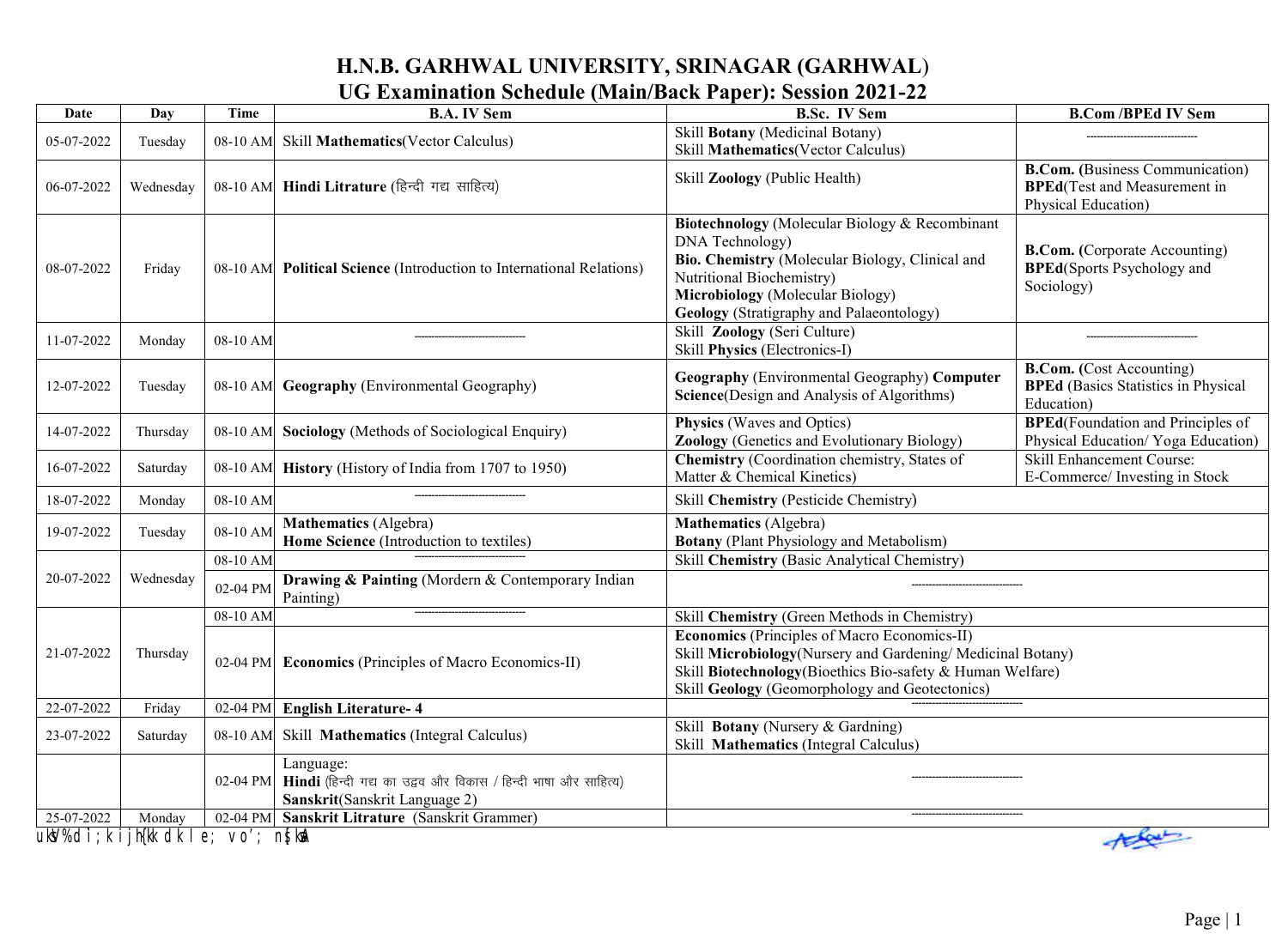## **H.N.B. GARHWAL UNIVERSITY, SRINAGAR (GARHWAL**) **UG Examination Schedule (Main/Back Paper): Session 2021-22**

| <b>Date</b>                                | Day       | <b>Time</b>          | <b>B.A. IV Sem</b>                                                                                           | <b>B.Sc. IV Sem</b>                                                                                                                                                                                                                      | <b>B.Com/BPEd IV Sem</b>                                                                              |
|--------------------------------------------|-----------|----------------------|--------------------------------------------------------------------------------------------------------------|------------------------------------------------------------------------------------------------------------------------------------------------------------------------------------------------------------------------------------------|-------------------------------------------------------------------------------------------------------|
| 05-07-2022                                 | Tuesday   | 08-10 AM             | <b>Skill Mathematics</b> (Vector Calculus)                                                                   | Skill Botany (Medicinal Botany)<br>Skill Mathematics(Vector Calculus)                                                                                                                                                                    |                                                                                                       |
| 06-07-2022                                 | Wednesday |                      | 08-10 AM Hindi Litrature (हिन्दी गद्य साहित्य)                                                               | Skill Zoology (Public Health)                                                                                                                                                                                                            | <b>B.Com.</b> (Business Communication)<br><b>BPEd</b> (Test and Measurement in<br>Physical Education) |
| 08-07-2022                                 | Friday    | 08-10 AM             | <b>Political Science</b> (Introduction to International Relations)                                           | Biotechnology (Molecular Biology & Recombinant<br>DNA Technology)<br>Bio. Chemistry (Molecular Biology, Clinical and<br>Nutritional Biochemistry)<br><b>Microbiology</b> (Molecular Biology)<br>Geology (Stratigraphy and Palaeontology) | <b>B.Com.</b> (Corporate Accounting)<br><b>BPEd(Sports Psychology and</b><br>Sociology)               |
| 11-07-2022                                 | Monday    | 08-10 AM             |                                                                                                              | Skill Zoology (Seri Culture)<br>Skill Physics (Electronics-I)                                                                                                                                                                            |                                                                                                       |
| 12-07-2022                                 | Tuesday   | 08-10 AM             | <b>Geography</b> (Environmental Geography)                                                                   | Geography (Environmental Geography) Computer<br>Science(Design and Analysis of Algorithms)                                                                                                                                               | <b>B.Com.</b> (Cost Accounting)<br><b>BPEd</b> (Basics Statistics in Physical<br>Education)           |
| 14-07-2022                                 | Thursday  |                      | 08-10 AM Sociology (Methods of Sociological Enquiry)                                                         | <b>Physics</b> (Waves and Optics)<br>Zoology (Genetics and Evolutionary Biology)                                                                                                                                                         | <b>BPEd</b> (Foundation and Principles of<br>Physical Education/ Yoga Education)                      |
| 16-07-2022                                 | Saturday  | 08-10 AM             | <b>History</b> (History of India from 1707 to 1950)                                                          | <b>Chemistry (Coordination chemistry, States of</b><br>Matter & Chemical Kinetics)                                                                                                                                                       | <b>Skill Enhancement Course:</b><br>E-Commerce/Investing in Stock                                     |
| 18-07-2022                                 | Monday    | 08-10 AM             |                                                                                                              | Skill Chemistry (Pesticide Chemistry)                                                                                                                                                                                                    |                                                                                                       |
| 19-07-2022                                 | Tuesday   | 08-10 AM             | <b>Mathematics</b> (Algebra)<br>Home Science (Introduction to textiles)                                      | Mathematics (Algebra)<br><b>Botany</b> (Plant Physiology and Metabolism)                                                                                                                                                                 |                                                                                                       |
|                                            | Wednesday | 08-10 AM             |                                                                                                              | Skill Chemistry (Basic Analytical Chemistry)                                                                                                                                                                                             |                                                                                                       |
| 20-07-2022                                 |           | 02-04 PM             | Drawing & Painting (Mordern & Contemporary Indian<br>Painting)                                               |                                                                                                                                                                                                                                          |                                                                                                       |
|                                            | Thursday  | 08-10 AM<br>02-04 PM |                                                                                                              | Skill Chemistry (Green Methods in Chemistry)                                                                                                                                                                                             |                                                                                                       |
| 21-07-2022                                 |           |                      | <b>Economics</b> (Principles of Macro Economics-II)                                                          | <b>Economics (Principles of Macro Economics-II)</b><br>Skill Microbiology (Nursery and Gardening/Medicinal Botany)<br>Skill Biotechnology(Bioethics Bio-safety & Human Welfare)<br>Skill Geology (Geomorphology and Geotectonics)        |                                                                                                       |
| 22-07-2022                                 | Friday    |                      | 02-04 PM English Literature- 4                                                                               |                                                                                                                                                                                                                                          |                                                                                                       |
| 23-07-2022                                 | Saturday  | 08-10 AM             | Skill Mathematics (Integral Calculus)                                                                        | Skill Botany (Nursery & Gardning)<br>Skill Mathematics (Integral Calculus)                                                                                                                                                               |                                                                                                       |
|                                            |           | 02-04 PM             | Language:<br>Hindi (हिन्दी गद्य का उद्वव और विकास / हिन्दी भाषा और साहित्य)<br>Sanskrit(Sanskrit Language 2) |                                                                                                                                                                                                                                          |                                                                                                       |
| 25-07-2022                                 | Monday    |                      | 02-04 PM Sanskrit Litrature (Sanskrit Grammer)                                                               |                                                                                                                                                                                                                                          |                                                                                                       |
| ukW%di;k ijh{kk dk le; vo'; n{ka\<br>there |           |                      |                                                                                                              |                                                                                                                                                                                                                                          |                                                                                                       |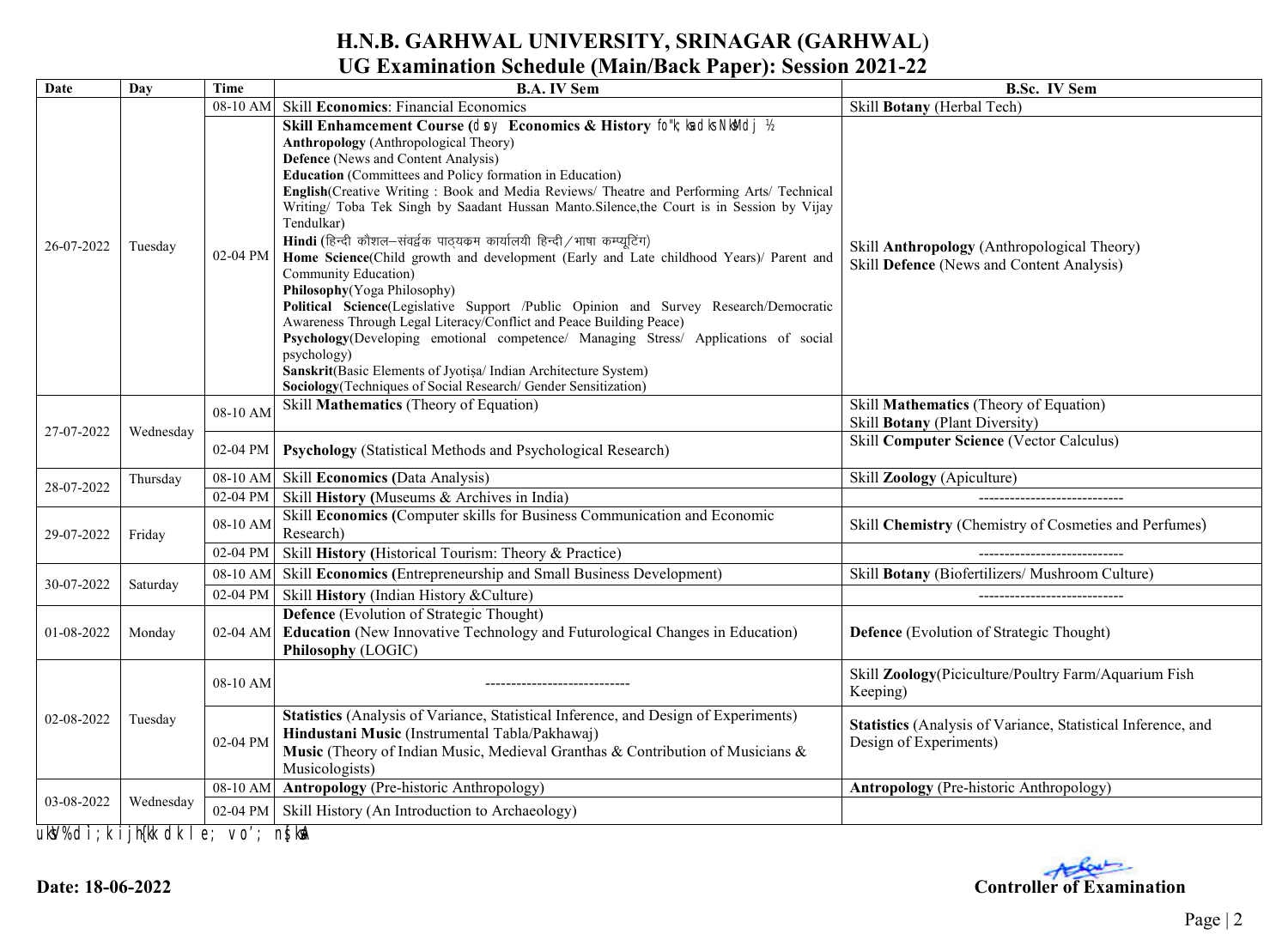# **H.N.B. GARHWAL UNIVERSITY, SRINAGAR (GARHWAL**)

# **UG Examination Schedule (Main/Back Paper): Session 2021-22**

| Date       | Day       | <b>Time</b> | <b>B.A. IV Sem</b>                                                                                                                                                                                                                                                                                                                                                                                                                                                                                                                                                                                                                                                                                                                                                                                                                                                                                                                                                                                                                                                              | <b>B.Sc. IV Sem</b>                                                                      |
|------------|-----------|-------------|---------------------------------------------------------------------------------------------------------------------------------------------------------------------------------------------------------------------------------------------------------------------------------------------------------------------------------------------------------------------------------------------------------------------------------------------------------------------------------------------------------------------------------------------------------------------------------------------------------------------------------------------------------------------------------------------------------------------------------------------------------------------------------------------------------------------------------------------------------------------------------------------------------------------------------------------------------------------------------------------------------------------------------------------------------------------------------|------------------------------------------------------------------------------------------|
|            |           | 08-10 AM    | <b>Skill Economics: Financial Economics</b>                                                                                                                                                                                                                                                                                                                                                                                                                                                                                                                                                                                                                                                                                                                                                                                                                                                                                                                                                                                                                                     | Skill Botany (Herbal Tech)                                                               |
| 26-07-2022 | Tuesday   | 02-04 PM    | Skill Enhamcement Course (dny Economics & History fo''k; ka dk NkMdj 1/2<br><b>Anthropology</b> (Anthropological Theory)<br>Defence (News and Content Analysis)<br>Education (Committees and Policy formation in Education)<br>English(Creative Writing: Book and Media Reviews/ Theatre and Performing Arts/ Technical<br>Writing/ Toba Tek Singh by Saadant Hussan Manto. Silence, the Court is in Session by Vijay<br>Tendulkar)<br>Hindi (हिन्दी कौशल-संवर्द्वक पाठ्यक्रम कार्यालयी हिन्दी / भाषा कम्प्यूटिंग)<br>Home Science(Child growth and development (Early and Late childhood Years)/ Parent and<br>Community Education)<br>Philosophy (Yoga Philosophy)<br>Political Science(Legislative Support /Public Opinion and Survey Research/Democratic<br>Awareness Through Legal Literacy/Conflict and Peace Building Peace)<br>Psychology(Developing emotional competence/ Managing Stress/ Applications of social<br>psychology)<br>Sanskrit(Basic Elements of Jyotişa/ Indian Architecture System)<br>Sociology (Techniques of Social Research/ Gender Sensitization) | Skill Anthropology (Anthropological Theory)<br>Skill Defence (News and Content Analysis) |
| 27-07-2022 | Wednesday | 08-10 AM    | Skill Mathematics (Theory of Equation)                                                                                                                                                                                                                                                                                                                                                                                                                                                                                                                                                                                                                                                                                                                                                                                                                                                                                                                                                                                                                                          | Skill Mathematics (Theory of Equation)<br>Skill Botany (Plant Diversity)                 |
|            |           | 02-04 PM    | <b>Psychology</b> (Statistical Methods and Psychological Research)                                                                                                                                                                                                                                                                                                                                                                                                                                                                                                                                                                                                                                                                                                                                                                                                                                                                                                                                                                                                              | <b>Skill Computer Science (Vector Calculus)</b>                                          |
| 28-07-2022 | Thursday  | 08-10 AM    | <b>Skill Economics (Data Analysis)</b>                                                                                                                                                                                                                                                                                                                                                                                                                                                                                                                                                                                                                                                                                                                                                                                                                                                                                                                                                                                                                                          | Skill Zoology (Apiculture)                                                               |
|            |           | 02-04 PM    | Skill History (Museums & Archives in India)                                                                                                                                                                                                                                                                                                                                                                                                                                                                                                                                                                                                                                                                                                                                                                                                                                                                                                                                                                                                                                     |                                                                                          |
| 29-07-2022 | Friday    | 08-10 AM    | Skill Economics (Computer skills for Business Communication and Economic<br>Research)                                                                                                                                                                                                                                                                                                                                                                                                                                                                                                                                                                                                                                                                                                                                                                                                                                                                                                                                                                                           | Skill Chemistry (Chemistry of Cosmeties and Perfumes)                                    |
|            |           | 02-04 PM    | Skill History (Historical Tourism: Theory & Practice)                                                                                                                                                                                                                                                                                                                                                                                                                                                                                                                                                                                                                                                                                                                                                                                                                                                                                                                                                                                                                           |                                                                                          |
| 30-07-2022 | Saturday  | 08-10 AM    | Skill Economics (Entrepreneurship and Small Business Development)                                                                                                                                                                                                                                                                                                                                                                                                                                                                                                                                                                                                                                                                                                                                                                                                                                                                                                                                                                                                               | Skill Botany (Biofertilizers/ Mushroom Culture)                                          |
|            |           | 02-04 PM    | Skill History (Indian History & Culture)                                                                                                                                                                                                                                                                                                                                                                                                                                                                                                                                                                                                                                                                                                                                                                                                                                                                                                                                                                                                                                        | -----------------------------                                                            |
| 01-08-2022 | Monday    | 02-04 AM    | <b>Defence</b> (Evolution of Strategic Thought)<br><b>Education</b> (New Innovative Technology and Futurological Changes in Education)<br>Philosophy (LOGIC)                                                                                                                                                                                                                                                                                                                                                                                                                                                                                                                                                                                                                                                                                                                                                                                                                                                                                                                    | <b>Defence</b> (Evolution of Strategic Thought)                                          |
| 02-08-2022 | Tuesday   | 08-10 AM    |                                                                                                                                                                                                                                                                                                                                                                                                                                                                                                                                                                                                                                                                                                                                                                                                                                                                                                                                                                                                                                                                                 | Skill Zoology(Piciculture/Poultry Farm/Aquarium Fish<br>Keeping)                         |
|            |           | 02-04 PM    | Statistics (Analysis of Variance, Statistical Inference, and Design of Experiments)<br>Hindustani Music (Instrumental Tabla/Pakhawaj)<br>Music (Theory of Indian Music, Medieval Granthas & Contribution of Musicians &<br>Musicologists)                                                                                                                                                                                                                                                                                                                                                                                                                                                                                                                                                                                                                                                                                                                                                                                                                                       | Statistics (Analysis of Variance, Statistical Inference, and<br>Design of Experiments)   |
| 03-08-2022 | Wednesday | 08-10 AM    | <b>Antropology (Pre-historic Anthropology)</b>                                                                                                                                                                                                                                                                                                                                                                                                                                                                                                                                                                                                                                                                                                                                                                                                                                                                                                                                                                                                                                  | <b>Antropology</b> (Pre-historic Anthropology)                                           |
|            |           | 02-04 PM    | Skill History (An Introduction to Archaeology)                                                                                                                                                                                                                                                                                                                                                                                                                                                                                                                                                                                                                                                                                                                                                                                                                                                                                                                                                                                                                                  |                                                                                          |
|            |           |             |                                                                                                                                                                                                                                                                                                                                                                                                                                                                                                                                                                                                                                                                                                                                                                                                                                                                                                                                                                                                                                                                                 |                                                                                          |

 **uksV% d`i;k ijh{kk dk le; vo'; ns[ksaA**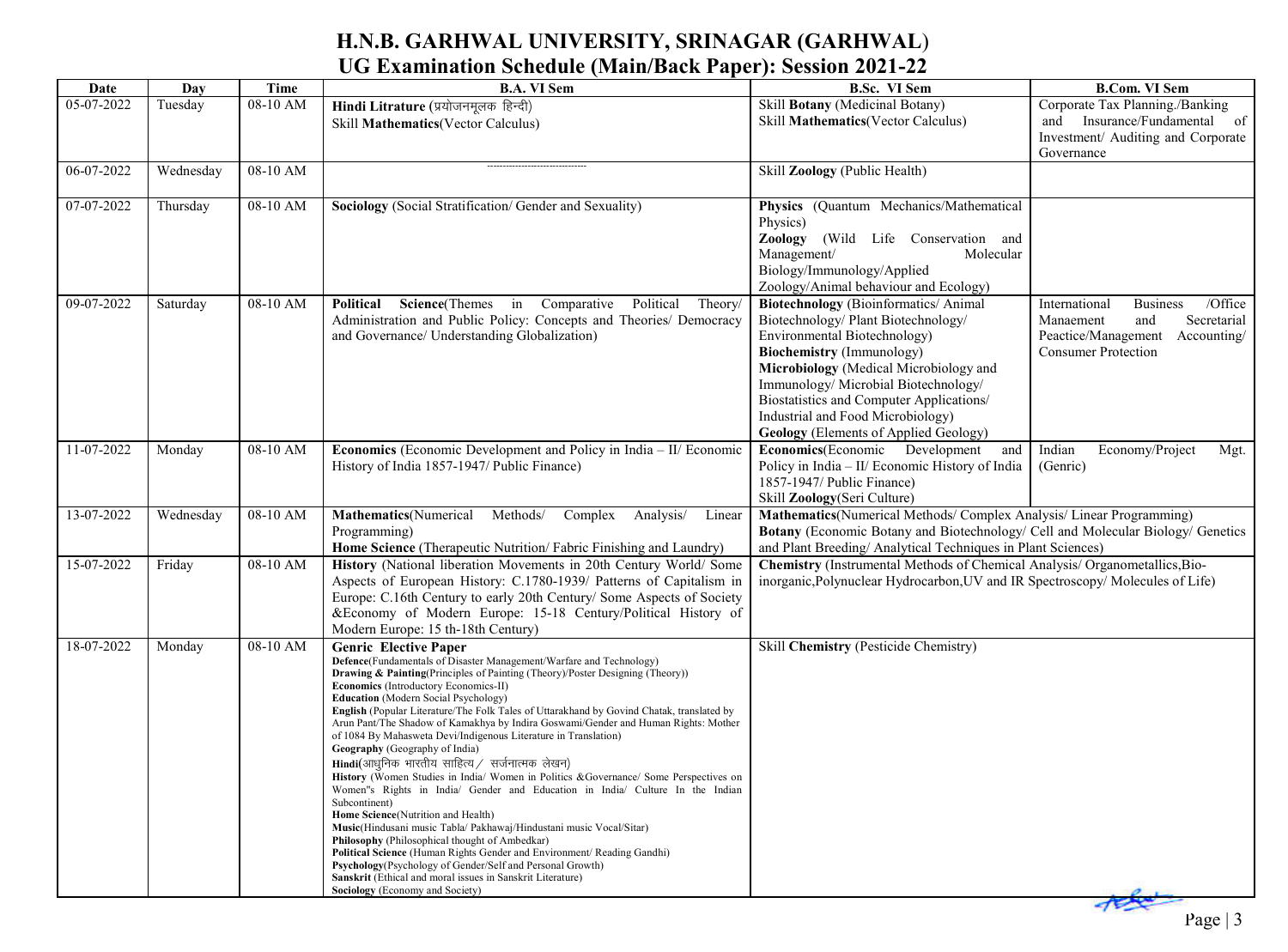### **H.N.B. GARHWAL UNIVERSITY, SRINAGAR (GARHWAL**) **UG Examination Schedule (Main/Back Paper): Session 2021-22**

| Date       | Day       | Time     | <b>B.A. VI Sem</b>                                                                                                                                                              | <b>B.Sc. VI Sem</b>                                                                                  | <b>B.Com. VI Sem</b>                        |
|------------|-----------|----------|---------------------------------------------------------------------------------------------------------------------------------------------------------------------------------|------------------------------------------------------------------------------------------------------|---------------------------------------------|
| 05-07-2022 | Tuesday   | 08-10 AM | Hindi Litrature (प्रयोजनमूलक हिन्दी)                                                                                                                                            | Skill Botany (Medicinal Botany)                                                                      | Corporate Tax Planning./Banking             |
|            |           |          | Skill Mathematics(Vector Calculus)                                                                                                                                              | Skill Mathematics (Vector Calculus)                                                                  | and Insurance/Fundamental of                |
|            |           |          |                                                                                                                                                                                 |                                                                                                      | Investment/ Auditing and Corporate          |
| 06-07-2022 | Wednesday | 08-10 AM |                                                                                                                                                                                 | Skill Zoology (Public Health)                                                                        | Governance                                  |
|            |           |          |                                                                                                                                                                                 |                                                                                                      |                                             |
| 07-07-2022 | Thursday  | 08-10 AM | Sociology (Social Stratification/Gender and Sexuality)                                                                                                                          | Physics (Quantum Mechanics/Mathematical                                                              |                                             |
|            |           |          |                                                                                                                                                                                 | Physics)                                                                                             |                                             |
|            |           |          |                                                                                                                                                                                 | Zoology<br>(Wild Life Conservation and                                                               |                                             |
|            |           |          |                                                                                                                                                                                 | Management/<br>Molecular                                                                             |                                             |
|            |           |          |                                                                                                                                                                                 | Biology/Immunology/Applied<br>Zoology/Animal behaviour and Ecology)                                  |                                             |
| 09-07-2022 | Saturday  | 08-10 AM | Science(Themes in Comparative<br>Political<br>Political<br>Theory/                                                                                                              | <b>Biotechnology</b> (Bioinformatics/ Animal                                                         | /Office<br>International<br><b>Business</b> |
|            |           |          | Administration and Public Policy: Concepts and Theories/ Democracy                                                                                                              | Biotechnology/ Plant Biotechnology/                                                                  | Manaement<br>Secretarial<br>and             |
|            |           |          | and Governance/ Understanding Globalization)                                                                                                                                    | Environmental Biotechnology)                                                                         | Peactice/Management<br>Accounting/          |
|            |           |          |                                                                                                                                                                                 | <b>Biochemistry</b> (Immunology)                                                                     | <b>Consumer Protection</b>                  |
|            |           |          |                                                                                                                                                                                 | Microbiology (Medical Microbiology and                                                               |                                             |
|            |           |          |                                                                                                                                                                                 | Immunology/Microbial Biotechnology/<br>Biostatistics and Computer Applications/                      |                                             |
|            |           |          |                                                                                                                                                                                 | Industrial and Food Microbiology)                                                                    |                                             |
|            |           |          |                                                                                                                                                                                 | <b>Geology</b> (Elements of Applied Geology)                                                         |                                             |
| 11-07-2022 | Monday    | 08-10 AM | <b>Economics</b> (Economic Development and Policy in India - II/ Economic                                                                                                       | Economics (Economic Development<br>and                                                               | Indian<br>Economy/Project<br>Mgt.           |
|            |           |          | History of India 1857-1947/ Public Finance)                                                                                                                                     | Policy in India - II/ Economic History of India                                                      | (Genric)                                    |
|            |           |          |                                                                                                                                                                                 | 1857-1947/ Public Finance)                                                                           |                                             |
| 13-07-2022 |           | 08-10 AM | Methods/                                                                                                                                                                        | Skill Zoology(Seri Culture)<br>Mathematics (Numerical Methods/ Complex Analysis/ Linear Programming) |                                             |
|            | Wednesday |          | Mathematics(Numerical<br>Complex Analysis/<br>Linear<br>Programming)                                                                                                            | Botany (Economic Botany and Biotechnology/ Cell and Molecular Biology/ Genetics                      |                                             |
|            |           |          | Home Science (Therapeutic Nutrition/Fabric Finishing and Laundry)                                                                                                               | and Plant Breeding/ Analytical Techniques in Plant Sciences)                                         |                                             |
| 15-07-2022 | Friday    | 08-10 AM | History (National liberation Movements in 20th Century World/ Some                                                                                                              | Chemistry (Instrumental Methods of Chemical Analysis/ Organometallics, Bio-                          |                                             |
|            |           |          | Aspects of European History: C.1780-1939/ Patterns of Capitalism in                                                                                                             | inorganic, Polynuclear Hydrocarbon, UV and IR Spectroscopy/ Molecules of Life)                       |                                             |
|            |           |          | Europe: C.16th Century to early 20th Century/ Some Aspects of Society                                                                                                           |                                                                                                      |                                             |
|            |           |          | &Economy of Modern Europe: 15-18 Century/Political History of<br>Modern Europe: 15 th-18th Century)                                                                             |                                                                                                      |                                             |
| 18-07-2022 | Monday    | 08-10 AM | <b>Genric Elective Paper</b>                                                                                                                                                    | Skill Chemistry (Pesticide Chemistry)                                                                |                                             |
|            |           |          | Defence(Fundamentals of Disaster Management/Warfare and Technology)                                                                                                             |                                                                                                      |                                             |
|            |           |          | Drawing & Painting(Principles of Painting (Theory)/Poster Designing (Theory))<br>Economics (Introductory Economics-II)                                                          |                                                                                                      |                                             |
|            |           |          | <b>Education</b> (Modern Social Psychology)                                                                                                                                     |                                                                                                      |                                             |
|            |           |          | English (Popular Literature/The Folk Tales of Uttarakhand by Govind Chatak, translated by<br>Arun Pant/The Shadow of Kamakhya by Indira Goswami/Gender and Human Rights: Mother |                                                                                                      |                                             |
|            |           |          | of 1084 By Mahasweta Devi/Indigenous Literature in Translation)                                                                                                                 |                                                                                                      |                                             |
|            |           |          | Geography (Geography of India)<br>Hindi(आधुनिक भारतीय साहित्य / सर्जनात्मक लेखन)                                                                                                |                                                                                                      |                                             |
|            |           |          | History (Women Studies in India/ Women in Politics & Governance/ Some Perspectives on                                                                                           |                                                                                                      |                                             |
|            |           |          | Women's Rights in India/ Gender and Education in India/ Culture In the Indian<br>Subcontinent)                                                                                  |                                                                                                      |                                             |
|            |           |          | Home Science(Nutrition and Health)                                                                                                                                              |                                                                                                      |                                             |
|            |           |          | Music(Hindusani music Tabla/ Pakhawaj/Hindustani music Vocal/Sitar)<br><b>Philosophy</b> (Philosophical thought of Ambedkar)                                                    |                                                                                                      |                                             |
|            |           |          | Political Science (Human Rights Gender and Environment/ Reading Gandhi)                                                                                                         |                                                                                                      |                                             |
|            |           |          | Psychology (Psychology of Gender/Self and Personal Growth)<br>Sanskrit (Ethical and moral issues in Sanskrit Literature)                                                        |                                                                                                      |                                             |
|            |           |          | Sociology (Economy and Society)                                                                                                                                                 |                                                                                                      |                                             |
|            |           |          |                                                                                                                                                                                 |                                                                                                      |                                             |